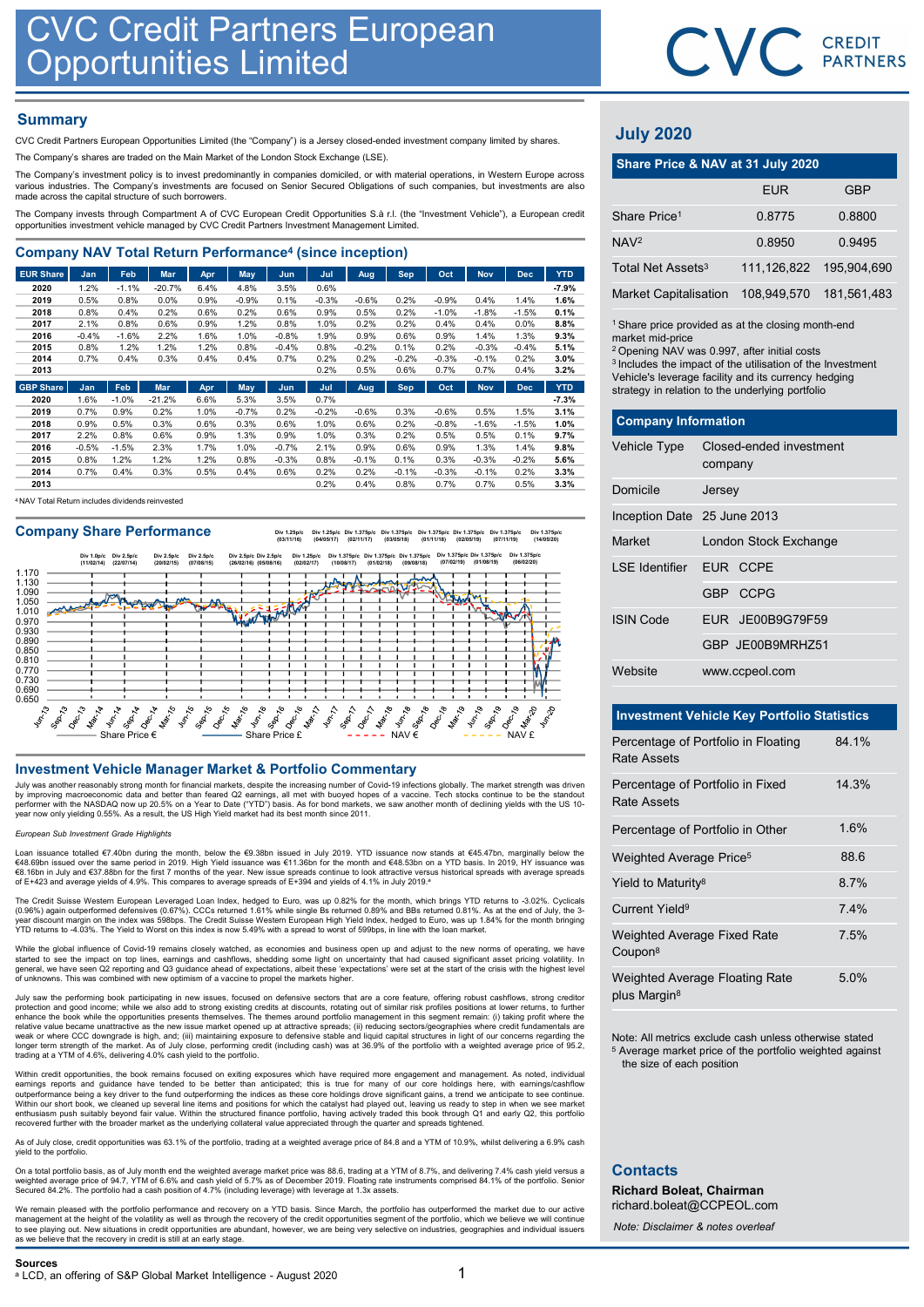## **Summary**

|                                                                                                                                                                                                                                                                                 |              |              | <b>CVC Credit Partners European</b><br><b>Opportunities Limited</b> |              |              |                 |              |                 |                 |                 |                    |                 |              |                                                                                                         | CVC CRI     |              |
|---------------------------------------------------------------------------------------------------------------------------------------------------------------------------------------------------------------------------------------------------------------------------------|--------------|--------------|---------------------------------------------------------------------|--------------|--------------|-----------------|--------------|-----------------|-----------------|-----------------|--------------------|-----------------|--------------|---------------------------------------------------------------------------------------------------------|-------------|--------------|
| <b>Summary</b>                                                                                                                                                                                                                                                                  |              |              |                                                                     |              |              |                 |              |                 |                 |                 |                    |                 |              |                                                                                                         |             |              |
| CVC Credit Partners European Opportunities Limited (the "Company") is a Jersey closed-ended investment company limited by shares.                                                                                                                                               |              |              |                                                                     |              |              |                 |              |                 |                 |                 |                    |                 |              | <b>July 2020</b>                                                                                        |             |              |
| The Company's shares are traded on the Main Market of the London Stock Exchange (LSE).                                                                                                                                                                                          |              |              |                                                                     |              |              |                 |              |                 |                 |                 |                    |                 |              | Share Price & NAV at 31 July 2020                                                                       |             |              |
| The Company's investment policy is to invest predominantly in companies domiciled, or with material operations, in Western Europe across<br>various industries. The Company's investments are focused on Senior Secured Obligations of such companies, but investments are also |              |              |                                                                     |              |              |                 |              |                 |                 |                 |                    |                 |              |                                                                                                         |             |              |
| made across the capital structure of such borrowers.                                                                                                                                                                                                                            |              |              |                                                                     |              |              |                 |              |                 |                 |                 |                    |                 |              |                                                                                                         | <b>EUR</b>  |              |
| The Company invests through Compartment A of CVC European Credit Opportunities S.à r.l. (the "Investment Vehicle"), a European credit<br>opportunities investment vehicle managed by CVC Credit Partners Investment Management Limited.                                         |              |              |                                                                     |              |              |                 |              |                 |                 |                 |                    |                 |              | Share Price <sup>1</sup>                                                                                | 0.8775      | 0.           |
| <b>Company NAV Total Return Performance<sup>4</sup> (since inception)</b>                                                                                                                                                                                                       |              |              |                                                                     |              |              |                 |              |                 |                 |                 |                    |                 |              | NAV <sup>2</sup>                                                                                        | 0.8950      | $\mathbf{0}$ |
| <b>EUR Share</b>                                                                                                                                                                                                                                                                | <b>Jan</b>   | Feb          | <b>Mar</b>                                                          | Apr          | May          | Jun             | Jul          | Aug             | <b>Sep</b>      | Oct             | <b>Nov</b>         | <b>Dec</b>      | <b>YTD</b>   | Total Net Assets <sup>3</sup>                                                                           | 111,126,822 | 195,         |
| 2020                                                                                                                                                                                                                                                                            | 1.2%         | $-1.1%$      | $-20.7%$                                                            | 6.4%         | 4.8%         | 3.5%            | 0.6%         |                 |                 |                 |                    |                 | $-7.9%$      |                                                                                                         |             |              |
| 2019                                                                                                                                                                                                                                                                            | 0.5%         | 0.8%         | 0.0%                                                                | 0.9%         | $-0.9%$      | 0.1%            | $-0.3%$      | $-0.6%$         | 0.2%            | $-0.9%$         | 0.4%               | 1.4%            | 1.6%         | <b>Market Capitalisation</b>                                                                            | 108,949,570 | 181.         |
| 2018<br>2017                                                                                                                                                                                                                                                                    | 0.8%<br>2.1% | 0.4%<br>0.8% | 0.2%<br>0.6%                                                        | 0.6%<br>0.9% | 0.2%<br>1.2% | 0.6%<br>0.8%    | 0.9%<br>1.0% | 0.5%<br>0.2%    | 0.2%<br>0.2%    | $-1.0%$<br>0.4% | $-1.8%$<br>0.4%    | $-1.5%$<br>0.0% | 0.1%<br>8.8% | <sup>1</sup> Share price provided as at the closing month-en                                            |             |              |
| 2016                                                                                                                                                                                                                                                                            | $-0.4%$      | $-1.6%$      | 2.2%                                                                | 1.6%         | 1.0%         | $-0.8%$         | 1.9%         | 0.9%            | 0.6%            | 0.9%            | 1.4%               | 1.3%            | 9.3%         | market mid-price                                                                                        |             |              |
| 2015<br>2014                                                                                                                                                                                                                                                                    | 0.8%<br>0.7% | 1.2%<br>0.4% | 1.2%<br>0.3%                                                        | 1.2%<br>0.4% | 0.8%<br>0.4% | $-0.4%$<br>0.7% | 0.8%<br>0.2% | $-0.2%$<br>0.2% | 0.1%<br>$-0.2%$ | 0.2%<br>$-0.3%$ | $-0.3%$<br>$-0.1%$ | $-0.4%$<br>0.2% | 5.1%<br>3.0% | <sup>2</sup> Opening NAV was 0.997, after initial costs                                                 |             |              |
| 2013                                                                                                                                                                                                                                                                            |              |              |                                                                     |              |              |                 | 0.2%         | 0.5%            | 0.6%            | 0.7%            | 0.7%               | 0.4%            | 3.2%         | <sup>3</sup> Includes the impact of the utilisation of the Inves                                        |             |              |
| <b>GBP Share</b>                                                                                                                                                                                                                                                                | Jan          | Feb          | <b>Mar</b>                                                          | Apr          | May          | Jun             | Jul          | Aug             | <b>Sep</b>      | Oct             | <b>Nov</b>         | <b>Dec</b>      | <b>YTD</b>   | Vehicle's leverage facility and its currency hedgin<br>strategy in relation to the underlying portfolio |             |              |
| 2020                                                                                                                                                                                                                                                                            | 1.6%         | $-1.0%$      | $-21.2%$                                                            | 6.6%         | 5.3%         | 3.5%            | 0.7%         |                 |                 |                 |                    |                 | $-7.3%$      |                                                                                                         |             |              |

| 2019 | 0.7%    | 0.9%    | 0.2%           | 1.0% | $-0.7%$ | 0.2%    | $-0.2%$ | $-0.6%$ | 0.3%    | $-0.6%$ | 0.5%    | .5%     | 3.1%    |
|------|---------|---------|----------------|------|---------|---------|---------|---------|---------|---------|---------|---------|---------|
| 2018 | $0.9\%$ | 0.5%    | 0.3%           | 0.6% | 0.3%    | 0.6%    | 1.0%    | 0.6%    | 0.2%    | $-0.8%$ | $-1.6%$ | $-1.5%$ | 1.0%    |
| 2017 | 2.2%    | 0.8%    | 0.6%           | 0.9% | .3%     | 0.9%    | 1.0%    | 0.3%    | 0.2%    | 0.5%    | 0.5%    | 0.1%    | $9.7\%$ |
| 2016 | $-0.5%$ | $-1.5%$ | 2.3%           | 1.7% | $.0\%$  | $-0.7%$ | 2.1%    | 0.9%    | 0.6%    | 0.9%    | 1.3%    | $4\%$   | $9.8\%$ |
| 2015 | 0.8%    | 1.2%    | $^{\circ}$ .2% | 1.2% | 0.8%    | $-0.3%$ | 0.8%    | $-0.1%$ | 0.1%    | 0.3%    | $-0.3%$ | $-0.2%$ | 5.6%    |
| 2014 | 0.7%    | 0.4%    | 0.3%           | 0.5% | 0.4%    | 0.6%    | 0.2%    | 0.2%    | $-0.1%$ | $-0.3%$ | $-0.1%$ | 0.2%    | 3.3%    |
| 2013 |         |         |                |      |         |         | 0.2%    | 0.4%    | 0.8%    | 0.7%    | 0.7%    | $0.5\%$ | 3.3%    |

<sup>4</sup> NAV Total Return includes dividends reinvested

### Company Share Performance

Div 1.25p/c Div 1.375p/c Div 1.375p/c Div 1.375p/c Div 1.375p/c Div 1.375p/c Div 1.375p/c Div 1.375p/c<br>(03/11/16) (04/05/17) (02/11/17) (03/05/18) (01/11/18) (02/05/19) (07/11/19) (14/05/20)



July was another reasonably strong month for financial markets, despite the increasing number of Covid-19 infections globally. The market strength was driven by improving macroeconomic data and better than feared Q2 earnings, all met with buoyed hopes of a vaccine. Tech stocks continue to be the standout<br>performer with the NASDAQ now up 20.5% on a Year to Date ("YTD") basis. As

### European Sub Investment Grade Highlights

Loan issuance totalled €7.40bn during the month, below the €9.38bn issued in July 2019. YTD issuance now stands at €45.47bn, marginally below the<br>€48.69bn issued over the same period in 2019. High Yield issuance was €11.36

The Credit Suisse Western European Leveraged Loan Index, hedged to Euro, was up 0.82% for the month, which brings YTD returns to -3.02%. Cyclicals<br>(0.96%) again outperformed defensives (0.67%). CCCs returned 1.61% while si

While the global influence of Covid-19 remains closely watched, as economies and business open up and adjust to the new norms of operating, we have started to see the impact on top lines, earnings and cashflows, shedding some light on uncertainty that had caused significant asset pricing volatility. In<br>general, we have seen Q2 reporting and Q3 guidance ahead of expect

July saw the performing book participating in new issues, focused on defensive sectors that are a core feature, offering robust cashflows, strong creditor<br>protection and good income; while we also add to strong existing cr as the second was not an alternative control of the second of the second state and the second state and actual the second state of the second state of the second state of the second state of the second state of the second

Within credit opportunities, the book remains focused on exiting exposures which have required more engagement and management. As noted, individual<br>earnings reports and guidance have tended to be better than anticipated; t Within our short book, we cleaned up several line items and positions for which the catalyst had played out, leaving us ready to step in when we see market<br>enthusiasm push suitably beyond fair value. Within the structured

As of July close, credit opportunities was 63.1% of the portfolio, trading at a weighted average price of 84.8 and a YTM of 10.9%, whilst delivering a 6.9% cash yield to the portfolio.

On a total portfolio basis, as of July month end the weighted average market price was 88.6, trading at a YTM of 8.7%, and delivering 7.4% cash yield versus a<br>weighted average price of 94.7, YTM of 6.6% and cash yield of 5 Secured 84.2%. The portfolio had a cash position of 4.7% (including leverage) with leverage at 1.3x assets.

We remain pleased with the portfolio performance and recovery on a YTD basis. Since March, the portfolio has outperformed the market due to our active<br>to anagement at the height of the volatility as well as through the rec



# July 2020

|                                                                                                                                                                                                                                                                                                                                   |         |                         | CVC CREDIT  |
|-----------------------------------------------------------------------------------------------------------------------------------------------------------------------------------------------------------------------------------------------------------------------------------------------------------------------------------|---------|-------------------------|-------------|
|                                                                                                                                                                                                                                                                                                                                   |         |                         |             |
|                                                                                                                                                                                                                                                                                                                                   |         |                         |             |
| <b>July 2020</b>                                                                                                                                                                                                                                                                                                                  |         |                         |             |
| Share Price & NAV at 31 July 2020                                                                                                                                                                                                                                                                                                 |         |                         |             |
|                                                                                                                                                                                                                                                                                                                                   |         | <b>EUR</b>              | <b>GBP</b>  |
| Share Price <sup>1</sup>                                                                                                                                                                                                                                                                                                          |         | 0.8775                  | 0.8800      |
| NAV <sub>2</sub>                                                                                                                                                                                                                                                                                                                  |         | 0.8950                  | 0.9495      |
| Total Net Assets <sup>3</sup>                                                                                                                                                                                                                                                                                                     |         | 111,126,822             | 195,904,690 |
| <b>Market Capitalisation</b>                                                                                                                                                                                                                                                                                                      |         | 108,949,570             | 181,561,483 |
| <sup>1</sup> Share price provided as at the closing month-end<br>market mid-price<br><sup>2</sup> Opening NAV was 0.997, after initial costs<br><sup>3</sup> Includes the impact of the utilisation of the Investment<br>Vehicle's leverage facility and its currency hedging<br>strategy in relation to the underlying portfolio |         |                         |             |
| <b>Company Information</b>                                                                                                                                                                                                                                                                                                        |         |                         |             |
| Vehicle Type                                                                                                                                                                                                                                                                                                                      | company | Closed-ended investment |             |
| Domicile                                                                                                                                                                                                                                                                                                                          | Jersey  |                         |             |
| Inception Date 25 June 2013                                                                                                                                                                                                                                                                                                       |         |                         |             |
| Market                                                                                                                                                                                                                                                                                                                            |         | London Stock Exchange   |             |

| <b>July 2020</b>                                                                                                                                                                                                                                                                                               |         |                         |             |
|----------------------------------------------------------------------------------------------------------------------------------------------------------------------------------------------------------------------------------------------------------------------------------------------------------------|---------|-------------------------|-------------|
| Share Price & NAV at 31 July 2020                                                                                                                                                                                                                                                                              |         |                         |             |
|                                                                                                                                                                                                                                                                                                                |         | <b>EUR</b>              | <b>GBP</b>  |
| Share Price <sup>1</sup>                                                                                                                                                                                                                                                                                       |         | 0.8775                  | 0.8800      |
| NAV <sub>2</sub>                                                                                                                                                                                                                                                                                               |         | 0.8950                  | 0.9495      |
| Total Net Assets <sup>3</sup>                                                                                                                                                                                                                                                                                  |         | 111,126,822             | 195,904,690 |
| <b>Market Capitalisation</b>                                                                                                                                                                                                                                                                                   |         | 108,949,570             | 181,561,483 |
| market mid-price<br><sup>2</sup> Opening NAV was 0.997, after initial costs<br><sup>3</sup> Includes the impact of the utilisation of the Investment<br>Vehicle's leverage facility and its currency hedging<br>strategy in relation to the underlying portfolio<br><b>Company Information</b><br>Vehicle Type |         | Closed-ended investment |             |
|                                                                                                                                                                                                                                                                                                                | company |                         |             |
| Domicile                                                                                                                                                                                                                                                                                                       | Jersey  |                         |             |
| Inception Date 25 June 2013                                                                                                                                                                                                                                                                                    |         |                         |             |
| Market                                                                                                                                                                                                                                                                                                         |         | London Stock Exchange   |             |
| <b>LSE</b> Identifier                                                                                                                                                                                                                                                                                          |         | EUR CCPE                |             |
|                                                                                                                                                                                                                                                                                                                |         | GBP CCPG                |             |
| <b>ISIN Code</b>                                                                                                                                                                                                                                                                                               |         | EUR JE00B9G79F59        |             |
|                                                                                                                                                                                                                                                                                                                |         | GBP JE00B9MRHZ51        |             |
| Website                                                                                                                                                                                                                                                                                                        |         | www.ccpeol.com          |             |
| <b>Investment Vehicle Key Portfolio Statistics</b>                                                                                                                                                                                                                                                             |         |                         |             |

|                                     | GBP JE00B9MRHZ51                                                                                                              |       |
|-------------------------------------|-------------------------------------------------------------------------------------------------------------------------------|-------|
| Website                             | www.ccpeol.com                                                                                                                |       |
|                                     | <b>Investment Vehicle Key Portfolio Statistics</b>                                                                            |       |
| <b>Rate Assets</b>                  | Percentage of Portfolio in Floating                                                                                           | 84.1% |
| <b>Rate Assets</b>                  | Percentage of Portfolio in Fixed                                                                                              | 14.3% |
|                                     | Percentage of Portfolio in Other                                                                                              | 1.6%  |
| Weighted Average Price <sup>5</sup> |                                                                                                                               | 88.6  |
| Yield to Maturity <sup>8</sup>      |                                                                                                                               | 8.7%  |
| Current Yield <sup>9</sup>          |                                                                                                                               | 7.4%  |
| Coupon <sup>8</sup>                 | Weighted Average Fixed Rate                                                                                                   | 7.5%  |
| plus Margin <sup>8</sup>            | Weighted Average Floating Rate                                                                                                | 5.0%  |
| the size of each position           | Note: All metrics exclude cash unless otherwise stated<br><sup>5</sup> Average market price of the portfolio weighted against |       |

## **Contacts**

Richard Boleat, Chairman richard.boleat@CCPEOL.com

Note: Disclaimer & notes overleaf